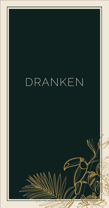# DRANKEN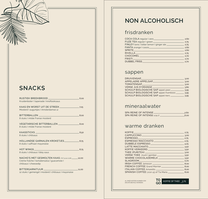# **SNACKS**

| Kruidenboter I tapenade I knoflooksaus                                                                                  |  |
|-------------------------------------------------------------------------------------------------------------------------|--|
| Mosterd I augurkjes I Amsterdamse ui                                                                                    |  |
| 8 stuks I milde Franse mosterd                                                                                          |  |
| 8 stuks I milde Franse mosterd                                                                                          |  |
| 8 stuks I chilisaus                                                                                                     |  |
| 8 stuks I saffraan mayonaise                                                                                            |  |
| 8 stuks I chilisaus I bbq-saus                                                                                          |  |
| NACHO'S MET GESMOLTEN KAAS (TOT 22.00 UUR) 12,00<br>Crème fraîche I tomatensalsa I quacamole I<br>chilisaus I cheesedip |  |
| BITTERGARNITUUR ____________________<br>$\frac{11,00}{2}$<br>12 stuks I gemengd I mosterd I chilisaus I mayonaise       |  |
|                                                                                                                         |  |
|                                                                                                                         |  |

# **NON ALCOHOLISCH**

## frisdranken

| CHOCOMEL 2.70 |  |
|---------------|--|
|               |  |
|               |  |

### sappen

| DRUIVENSAP                                    | 3.00    |
|-----------------------------------------------|---------|
| APPELAERE APPELSAP                            | 3.00    |
| <b>TOMATENSAP</b>                             | 3.00    |
| VERSE JUS D'ORANGE_                           | 3.80    |
|                                               |         |
| SCHULP BIOLOGISCHE SAP appel-framboos _______ | 3.95    |
| SCHULP BIOLOGISCHE SAP appel-kers             | $-3.95$ |

### mineraalwater

|  | SPA REINE OF INTENSE         | 2.60 |
|--|------------------------------|------|
|  | SPA REINE OF INTENSE 0.75 LT | 6.00 |

### warme dranken

| <b>KOFFIE AND ARRAIGNMENT CONTROL</b>                                        | 2,75 |
|------------------------------------------------------------------------------|------|
|                                                                              |      |
|                                                                              |      |
|                                                                              |      |
|                                                                              |      |
|                                                                              |      |
|                                                                              |      |
|                                                                              |      |
|                                                                              |      |
|                                                                              |      |
| <b>SLAGROOM</b><br>$-$ 0.70                                                  |      |
|                                                                              | 8,00 |
| <b>FRENCH COFFEE Grand Marnier</b> [1995] <b>FRENCH COFFEE Grand Marnier</b> | 8.00 |
|                                                                              | 8,00 |
|                                                                              | 8,00 |

*AL ONZE KOFFIES KUNNEN OOK DECAFÉ BESTELD WORDEN.*

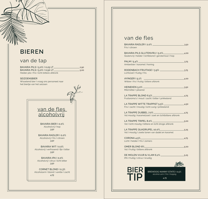# **BIEREN**

### van de tap

BAVARIA PILS I 5,0% I 0,25 LT BAVARIA PILS I 5,0% I 0,50 LT Helder pils I fris I licht bittere afdronk  $-2,90$ 

5,00

SEIZOENSBIER Wisselend bier I vraag ons personeel naar het biertje van het seizoen



BAVARIA BIER I 0,0% Alcoholvrij I hop *3,50*

BAVARIA RADLER I 0,0% Alcoholvrij I fris I citroen *3,50*

BAVARIA WIT I 0,0% Alcoholvrij I verfrissend I fijn I bitter *3,50*

BAVARIA IPA I 0,0% Alcoholvrij I citrus I licht bitter *3,50*

CORNET BLOND I 0,3% Alcoholarm I blond I vanille I zacht *4,75*

## van de fles

| BAVARIA RADLER I 2,0%<br>Fris I citroen                                               | 3,50  |
|---------------------------------------------------------------------------------------|-------|
| BAVARIA PILS GLUTENVRIJ I 5,0%<br>Glutenvrij I helder I lichtblond I gerstemout I hop | 4,00  |
| PALM 15,4%<br>Amberbier I karamel I honing                                            | 3.75  |
| RODENBACH FRUITAGE I 3,9%<br>Lichtzoet I fruitig I fris                               | 3.75  |
| AYINGER I 5,1%<br>Witbier I fris I fruitig I bittere afdronk                          | .4,00 |
| <b>HEINEKEN 5,0%</b><br>Mild bitter I pilsener                                        | 3,50  |
| LA TRAPPE BLOND 6,5%<br>Fruitaroma's I mout I zacht I bitter I prikkelend             | 4,75  |
| LA TRAPPE WITTE TRAPPIST 5,5%<br>Fris I zacht I moutig I licht zurig I prikkelend     | 4,50  |
| LA TRAPPE DUBBEL 7,0%<br>Vol moutig I karamelzoet I zoet en lichtbittere afdronk      | 4,75  |
| LA TRAPPE TRIPEL 8,0%<br>Vol I licht moutig I bittere en licht droge afdronk          | 5,00  |
| LA TRAPPE QUADRUPEL 10,0%<br>Vol I moutig I zoete tonen van dadel en karamel          | 5,25  |
| CORONA $4.5\%$<br>Licht I helder I fris I zomers                                      | 4,75  |
| <b>OMER BLOND 8%</b><br>Vol I fruitig I bittere afdronk                               | 5,00  |
| DE MOLEN VUUR & VLAM 6,2%<br>IPA I fruitig I citrus I kruidig                         | 5,25  |
|                                                                                       |       |
| BIER<br>BREWDOG NANNY STATE I 0,5%<br>alcohol-arm I fris I hoppig                     |       |

**TIP 1.75**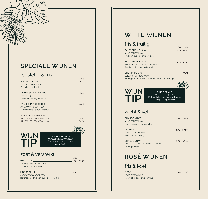# **SPECIALE WIJNEN**

### feestelijk & fris

|                                             |                                               |        | fles       |
|---------------------------------------------|-----------------------------------------------|--------|------------|
| BLÛ PROSECCO _                              |                                               |        | 8.00       |
| FRIZZANTE I ITALIË I 20 CL                  |                                               |        |            |
| Glera I fris I wit fruit                    |                                               |        |            |
|                                             |                                               |        |            |
| JAUME SERA CAVA BRUT_                       |                                               |        | 25,00      |
| SPANJE   75 CL                              |                                               |        |            |
| Fruitig I citrus I fijne bubbel             |                                               |        |            |
|                                             |                                               |        |            |
| VAL D'OCA PROSECCO___                       |                                               |        | $-29,50$   |
| SPUMANTE   ITALIË   75 CL                   |                                               |        |            |
| Glera I stevig I citrus I wit fruit         |                                               |        |            |
|                                             |                                               |        |            |
| POMMERY CHAMPAGNE                           |                                               |        |            |
|                                             |                                               |        |            |
|                                             |                                               |        | $-65,00$   |
|                                             |                                               |        |            |
|                                             |                                               |        |            |
|                                             |                                               |        |            |
|                                             |                                               |        |            |
| <b>WIJN</b>                                 | <b>CUVEE PRESTIGE</b>                         |        |            |
| TIP                                         | M-SELECTION I FRANKRIJK                       |        |            |
|                                             | Fris I appel I citrus I droog<br>24,50 (fles) |        |            |
|                                             |                                               |        |            |
|                                             |                                               |        |            |
|                                             |                                               |        |            |
| zoet & versterkt                            |                                               |        |            |
|                                             |                                               | glas   |            |
| <code>MOELLEUX<math>\_\_</math></code>      |                                               |        | 4,25 24,50 |
| <b>THOMAS BARTON   FRANKRIJK</b>            |                                               |        |            |
| Abrikoos I marmelade                        |                                               |        |            |
|                                             |                                               |        |            |
|                                             |                                               | - 5,50 |            |
| <b>OUMA SE WYN   ZUID-AFRIKA</b>            |                                               |        |            |
| Honingzoet I tropisch fruit I licht kruidig |                                               |        |            |

# **WITTE WIJNEN**

### fris & fruitig

|                                                                                                                                 |                  | glas fles     |
|---------------------------------------------------------------------------------------------------------------------------------|------------------|---------------|
| <b>SAUVIGNON BLANC</b>                                                                                                          |                  | 4,25 24,50    |
| <b>M-SELECTION   CHILI</b>                                                                                                      |                  |               |
| Tropisch fruit I peer I abrikoos                                                                                                |                  |               |
| SAUVIGNON BLANC                                                                                                                 |                  | $-5.75$ 32,50 |
| <b>ESK VALLEY ESTATE   NIEUW-ZEELAND</b>                                                                                        |                  |               |
| Passievrucht I mango I appel                                                                                                    |                  |               |
| CHENIN BLANC_____                                                                                                               |                  | $-37.50$      |
| <b>BELLINGHAM   ZUID-AFRIKA</b>                                                                                                 |                  |               |
| Honing I peer I perzik I abrikoos I citrus I mandarijn                                                                          |                  |               |
|                                                                                                                                 |                  |               |
|                                                                                                                                 |                  |               |
| <b>WIJN</b><br>PINOT GRIGIO<br>M-SELECTION   CHILI<br>TIP<br>Meloen I abrikoos I citrus I kruidig<br>4,50 (glas) / 25,00 (fles) |                  |               |
| zacht & vol                                                                                                                     |                  |               |
| CHARDONNAY CHARDONNAY<br>$-$ 4,25 24,50                                                                                         |                  |               |
| M-SELECTION   CHILI                                                                                                             |                  |               |
| Peer I abrikoos I tropisch fruit                                                                                                |                  |               |
| VERDEJO                                                                                                                         | $-5,75$ 32,50    |               |
| <b>DIEZ SIGLOS   SPANJE</b>                                                                                                     |                  |               |
| Peer I perzik I droog                                                                                                           |                  |               |
| <b>CHARDONNAY</b>                                                                                                               | $\frac{6,50}{2}$ | 35,50         |

*NOBLE VINES 446 | VERENIGDE STATEN* Honing I boter

# *glas* **ROSÉ WIJNEN**

### fris & koel

| <b>ROSÉ</b>                      | - 4.25 24.50 |  |
|----------------------------------|--------------|--|
| <b>M-SELECTION CHILI</b>         |              |  |
| Peer I abrikoos I tropisch fruit |              |  |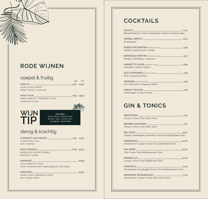# **RODE WIJNEN**

### soepel & fruitig

MERLOT\_ *M-SELECTION I SPANJE* Braam I pruim I zwarte bes

**WIJN**

PINOT NOIR *NOBLE VINES 677 I VERENIGDE STATEN* Zwarte bes I pruim

MALBEC *DONA PAULA I ARGENTINIË* Braam I bes I zwarte kers DONA PAULA I ARGENTIN<br>Braam I bes I zwarte ke<br>5,25 (glas) / 30,00 (fles)

*fles glas*

 $-4,25$  24,50

 $-6,50$  35,50

 $-62,50$ 

35,00

### stevig & krachtig

CABERNET SAUVIGNON 4,25 24,50 *M-SELECTION | CHILI* Kers I rode bes

RIOJA CRIANZA *MARQUES DE CACERES | SPANJE* Rode kers I vanille  $-6,00,35,00$ 

AMARONE *CECILIA BERETTA | ITALIË* Pruim I amandel I kers I gedroogd fruit I chocolade

ZINFANDEL *GNARLY HEAD | VERENIGDE STATEN* Bes I kaneel I koffie

**COCKTAILS**

| 8.75<br>Bacardi Superior I munt I suikersiroop I limoen I bruisend water                                                                                                                                                      |       |
|-------------------------------------------------------------------------------------------------------------------------------------------------------------------------------------------------------------------------------|-------|
|                                                                                                                                                                                                                               |       |
|                                                                                                                                                                                                                               |       |
| Sinaasappel                                                                                                                                                                                                                   |       |
|                                                                                                                                                                                                                               |       |
| Wodka I passievrucht I vanille                                                                                                                                                                                                |       |
| ESPRESSO MARTINI (COCKTAIL CLUB) <b>ESPRESSO MARTINI</b> (COCKTAIL CLUB)                                                                                                                                                      |       |
| Wodka I koffielikeur I espresso                                                                                                                                                                                               |       |
| AMARETTO SOUR (COCKTAIL CLUB) 4.50                                                                                                                                                                                            |       |
| Amandel Loitroen Lbitters                                                                                                                                                                                                     |       |
| OLD FASHIONED (COCKTAIL CLUB)  2,00                                                                                                                                                                                           |       |
| Rum I angostura bitter                                                                                                                                                                                                        |       |
|                                                                                                                                                                                                                               |       |
| Gin I Vermouth I Angostura bitter                                                                                                                                                                                             |       |
| VIRGIN TOUCAN NAME AND THE RESERVE TO A RESERVE THE RESERVE TO A RESERVE THE RESERVE THAT A RESERVE THE RESERVE THAT A RESERVE THAT A RESERVE THAT A RESERVE THAT A RESERVE THAT A REPORT OF THE RESERVE THAT A REPORT OF THE | -7.00 |
| Sinaasappel I munt I limoen                                                                                                                                                                                                   |       |

# **GIN & TONICS**

| Limoen I Fever-Tree Indian Tonic                                           |
|----------------------------------------------------------------------------|
| Citroen I Fever-Tree Indian Tonic                                          |
| .9,00<br>Citroen I sinaasappel I jeneverbes I Fever-Tree Elderflower Tonic |
| 10,00<br>Komkommer I peper I Fever-Tree Elderflower Tonic                  |
| Tijm I Fever-Tree Mediterranean Tonic                                      |
| MONKEY 47 11,00<br>Limoen I Fever-Tree Elderflower Tonic                   |
| Sinaasappel I kruidnagel I Fever-Tree Mediterranean Tonic                  |
| SIEGFRIED WONDERLEAF<br>Alchoholvrij I citroen I Fever-Tree Indian Tonic   |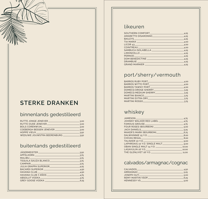# **STERKE DRANKEN**

## binnenlands gedestilleerd

| RUTTE JONGE JENEVER        | .3.00   |
|----------------------------|---------|
| RUTTE OUDE JENEVER         | $-3.00$ |
| <b>BOLS CORENWIJN</b>      | $-3.00$ |
| COFBERGH BESSEN JENEVER    | $-3.00$ |
| <b>HOPPE VIFUX</b>         | $-3.50$ |
| WEDUWE JOUWSTRA BEERENBURG | 3.50    |

### buitenlands gedestilleerd

|                                                   | $-3,50$ |
|---------------------------------------------------|---------|
| APFELKORN 3.75                                    |         |
|                                                   | $-3.75$ |
| TEQUILA SAUZA BLANCO 375                          |         |
|                                                   | $-3.75$ |
| JULIA GRAPPA SUPERIOR 4,25                        |         |
| BACARDI SUPERIOR 4,50                             |         |
|                                                   |         |
| HAVANA CLUB 7 AÑOS ______________________________ | $-4,75$ |
|                                                   |         |
|                                                   | $-6,25$ |

### likeuren

| $LICOR 43$ 4.00 |  |
|-----------------|--|
|                 |  |
|                 |  |
|                 |  |
|                 |  |
|                 |  |
|                 |  |
|                 |  |

# port/sherry/vermouth

| BARROS WITTE PORT<br>$-3,25$<br>MARTINI EXTRA DRY AND ANNOUNCES AND ANNOUNCES | $-4,00$ |
|-------------------------------------------------------------------------------|---------|
|                                                                               | $-4,00$ |
|                                                                               | $-4,00$ |
|                                                                               | $-3,25$ |
|                                                                               |         |
|                                                                               |         |
|                                                                               | $-3.75$ |
|                                                                               | $-3.75$ |

## whiskey

|                                                         | $-4.75$ |
|---------------------------------------------------------|---------|
|                                                         |         |
|                                                         | $-4.75$ |
|                                                         |         |
|                                                         | .5,25   |
|                                                         | $-6,75$ |
|                                                         | 8.00    |
|                                                         |         |
|                                                         |         |
|                                                         |         |
|                                                         | 10,00   |
|                                                         | 10.00   |
| THE GLENLIVET 18 Y.O. _________________________________ | 11.00   |

### calvados/armagnac/cognac

| CALVADOS         | .4.50 |
|------------------|-------|
| ARMAGNAC         | .5.25 |
| JOSEPH GUY       | .5.00 |
| REMY MARTIN VSOP | .6.25 |
| HENNESSY VS      | .5.00 |